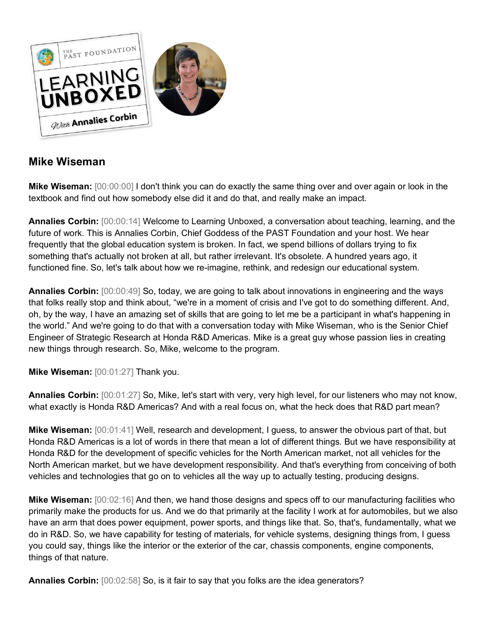

## **Mike Wiseman**

**Mike Wiseman:** [00:00:00] I don't think you can do exactly the same thing over and over again or look in the textbook and find out how somebody else did it and do that, and really make an impact.

**Annalies Corbin:** [00:00:14] Welcome to Learning Unboxed, a conversation about teaching, learning, and the future of work. This is Annalies Corbin, Chief Goddess of the PAST Foundation and your host. We hear frequently that the global education system is broken. In fact, we spend billions of dollars trying to fix something that's actually not broken at all, but rather irrelevant. It's obsolete. A hundred years ago, it functioned fine. So, let's talk about how we re-imagine, rethink, and redesign our educational system.

**Annalies Corbin:** [00:00:49] So, today, we are going to talk about innovations in engineering and the ways that folks really stop and think about, "we're in a moment of crisis and I've got to do something different. And, oh, by the way, I have an amazing set of skills that are going to let me be a participant in what's happening in the world." And we're going to do that with a conversation today with Mike Wiseman, who is the Senior Chief Engineer of Strategic Research at Honda R&D Americas. Mike is a great guy whose passion lies in creating new things through research. So, Mike, welcome to the program.

**Mike Wiseman:** [00:01:27] Thank you.

**Annalies Corbin:** [00:01:27] So, Mike, let's start with very, very high level, for our listeners who may not know, what exactly is Honda R&D Americas? And with a real focus on, what the heck does that R&D part mean?

**Mike Wiseman:** [00:01:41] Well, research and development, I guess, to answer the obvious part of that, but Honda R&D Americas is a lot of words in there that mean a lot of different things. But we have responsibility at Honda R&D for the development of specific vehicles for the North American market, not all vehicles for the North American market, but we have development responsibility. And that's everything from conceiving of both vehicles and technologies that go on to vehicles all the way up to actually testing, producing designs.

**Mike Wiseman:** [00:02:16] And then, we hand those designs and specs off to our manufacturing facilities who primarily make the products for us. And we do that primarily at the facility I work at for automobiles, but we also have an arm that does power equipment, power sports, and things like that. So, that's, fundamentally, what we do in R&D. So, we have capability for testing of materials, for vehicle systems, designing things from, I guess you could say, things like the interior or the exterior of the car, chassis components, engine components, things of that nature.

**Annalies Corbin:** [00:02:58] So, is it fair to say that you folks are the idea generators?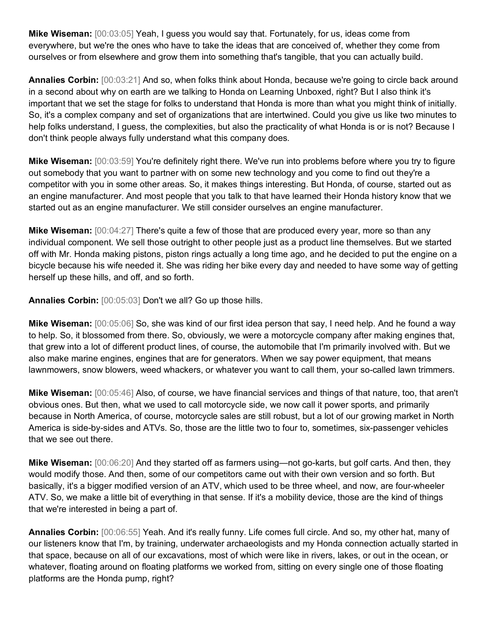**Mike Wiseman:** [00:03:05] Yeah, I guess you would say that. Fortunately, for us, ideas come from everywhere, but we're the ones who have to take the ideas that are conceived of, whether they come from ourselves or from elsewhere and grow them into something that's tangible, that you can actually build.

**Annalies Corbin:** [00:03:21] And so, when folks think about Honda, because we're going to circle back around in a second about why on earth are we talking to Honda on Learning Unboxed, right? But I also think it's important that we set the stage for folks to understand that Honda is more than what you might think of initially. So, it's a complex company and set of organizations that are intertwined. Could you give us like two minutes to help folks understand, I guess, the complexities, but also the practicality of what Honda is or is not? Because I don't think people always fully understand what this company does.

**Mike Wiseman:** [00:03:59] You're definitely right there. We've run into problems before where you try to figure out somebody that you want to partner with on some new technology and you come to find out they're a competitor with you in some other areas. So, it makes things interesting. But Honda, of course, started out as an engine manufacturer. And most people that you talk to that have learned their Honda history know that we started out as an engine manufacturer. We still consider ourselves an engine manufacturer.

**Mike Wiseman:** [00:04:27] There's quite a few of those that are produced every year, more so than any individual component. We sell those outright to other people just as a product line themselves. But we started off with Mr. Honda making pistons, piston rings actually a long time ago, and he decided to put the engine on a bicycle because his wife needed it. She was riding her bike every day and needed to have some way of getting herself up these hills, and off, and so forth.

**Annalies Corbin:** [00:05:03] Don't we all? Go up those hills.

**Mike Wiseman:** [00:05:06] So, she was kind of our first idea person that say, I need help. And he found a way to help. So, it blossomed from there. So, obviously, we were a motorcycle company after making engines that, that grew into a lot of different product lines, of course, the automobile that I'm primarily involved with. But we also make marine engines, engines that are for generators. When we say power equipment, that means lawnmowers, snow blowers, weed whackers, or whatever you want to call them, your so-called lawn trimmers.

**Mike Wiseman:** [00:05:46] Also, of course, we have financial services and things of that nature, too, that aren't obvious ones. But then, what we used to call motorcycle side, we now call it power sports, and primarily because in North America, of course, motorcycle sales are still robust, but a lot of our growing market in North America is side-by-sides and ATVs. So, those are the little two to four to, sometimes, six-passenger vehicles that we see out there.

**Mike Wiseman:** [00:06:20] And they started off as farmers using—not go-karts, but golf carts. And then, they would modify those. And then, some of our competitors came out with their own version and so forth. But basically, it's a bigger modified version of an ATV, which used to be three wheel, and now, are four-wheeler ATV. So, we make a little bit of everything in that sense. If it's a mobility device, those are the kind of things that we're interested in being a part of.

**Annalies Corbin:** [00:06:55] Yeah. And it's really funny. Life comes full circle. And so, my other hat, many of our listeners know that I'm, by training, underwater archaeologists and my Honda connection actually started in that space, because on all of our excavations, most of which were like in rivers, lakes, or out in the ocean, or whatever, floating around on floating platforms we worked from, sitting on every single one of those floating platforms are the Honda pump, right?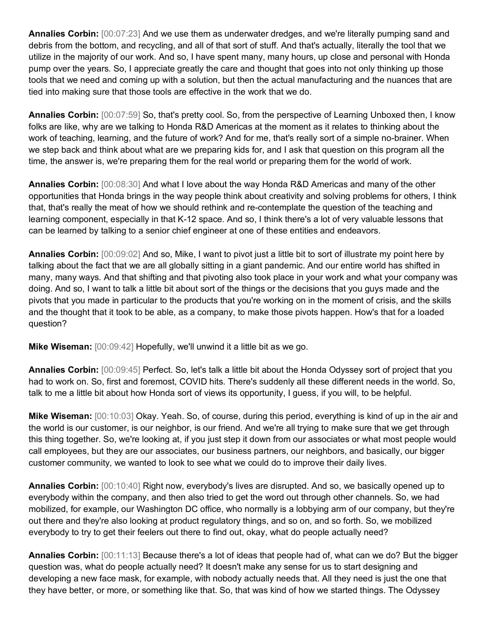**Annalies Corbin:** [00:07:23] And we use them as underwater dredges, and we're literally pumping sand and debris from the bottom, and recycling, and all of that sort of stuff. And that's actually, literally the tool that we utilize in the majority of our work. And so, I have spent many, many hours, up close and personal with Honda pump over the years. So, I appreciate greatly the care and thought that goes into not only thinking up those tools that we need and coming up with a solution, but then the actual manufacturing and the nuances that are tied into making sure that those tools are effective in the work that we do.

**Annalies Corbin:** [00:07:59] So, that's pretty cool. So, from the perspective of Learning Unboxed then, I know folks are like, why are we talking to Honda R&D Americas at the moment as it relates to thinking about the work of teaching, learning, and the future of work? And for me, that's really sort of a simple no-brainer. When we step back and think about what are we preparing kids for, and I ask that question on this program all the time, the answer is, we're preparing them for the real world or preparing them for the world of work.

**Annalies Corbin:** [00:08:30] And what I love about the way Honda R&D Americas and many of the other opportunities that Honda brings in the way people think about creativity and solving problems for others, I think that, that's really the meat of how we should rethink and re-contemplate the question of the teaching and learning component, especially in that K-12 space. And so, I think there's a lot of very valuable lessons that can be learned by talking to a senior chief engineer at one of these entities and endeavors.

**Annalies Corbin:** [00:09:02] And so, Mike, I want to pivot just a little bit to sort of illustrate my point here by talking about the fact that we are all globally sitting in a giant pandemic. And our entire world has shifted in many, many ways. And that shifting and that pivoting also took place in your work and what your company was doing. And so, I want to talk a little bit about sort of the things or the decisions that you guys made and the pivots that you made in particular to the products that you're working on in the moment of crisis, and the skills and the thought that it took to be able, as a company, to make those pivots happen. How's that for a loaded question?

**Mike Wiseman:** [00:09:42] Hopefully, we'll unwind it a little bit as we go.

**Annalies Corbin:** [00:09:45] Perfect. So, let's talk a little bit about the Honda Odyssey sort of project that you had to work on. So, first and foremost, COVID hits. There's suddenly all these different needs in the world. So, talk to me a little bit about how Honda sort of views its opportunity, I guess, if you will, to be helpful.

**Mike Wiseman:** [00:10:03] Okay. Yeah. So, of course, during this period, everything is kind of up in the air and the world is our customer, is our neighbor, is our friend. And we're all trying to make sure that we get through this thing together. So, we're looking at, if you just step it down from our associates or what most people would call employees, but they are our associates, our business partners, our neighbors, and basically, our bigger customer community, we wanted to look to see what we could do to improve their daily lives.

**Annalies Corbin:** [00:10:40] Right now, everybody's lives are disrupted. And so, we basically opened up to everybody within the company, and then also tried to get the word out through other channels. So, we had mobilized, for example, our Washington DC office, who normally is a lobbying arm of our company, but they're out there and they're also looking at product regulatory things, and so on, and so forth. So, we mobilized everybody to try to get their feelers out there to find out, okay, what do people actually need?

**Annalies Corbin:** [00:11:13] Because there's a lot of ideas that people had of, what can we do? But the bigger question was, what do people actually need? It doesn't make any sense for us to start designing and developing a new face mask, for example, with nobody actually needs that. All they need is just the one that they have better, or more, or something like that. So, that was kind of how we started things. The Odyssey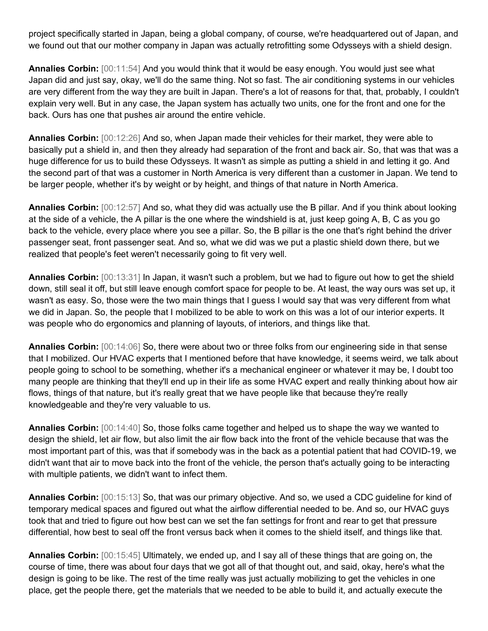project specifically started in Japan, being a global company, of course, we're headquartered out of Japan, and we found out that our mother company in Japan was actually retrofitting some Odysseys with a shield design.

**Annalies Corbin:** [00:11:54] And you would think that it would be easy enough. You would just see what Japan did and just say, okay, we'll do the same thing. Not so fast. The air conditioning systems in our vehicles are very different from the way they are built in Japan. There's a lot of reasons for that, that, probably, I couldn't explain very well. But in any case, the Japan system has actually two units, one for the front and one for the back. Ours has one that pushes air around the entire vehicle.

**Annalies Corbin:** [00:12:26] And so, when Japan made their vehicles for their market, they were able to basically put a shield in, and then they already had separation of the front and back air. So, that was that was a huge difference for us to build these Odysseys. It wasn't as simple as putting a shield in and letting it go. And the second part of that was a customer in North America is very different than a customer in Japan. We tend to be larger people, whether it's by weight or by height, and things of that nature in North America.

**Annalies Corbin:** [00:12:57] And so, what they did was actually use the B pillar. And if you think about looking at the side of a vehicle, the A pillar is the one where the windshield is at, just keep going A, B, C as you go back to the vehicle, every place where you see a pillar. So, the B pillar is the one that's right behind the driver passenger seat, front passenger seat. And so, what we did was we put a plastic shield down there, but we realized that people's feet weren't necessarily going to fit very well.

**Annalies Corbin:** [00:13:31] In Japan, it wasn't such a problem, but we had to figure out how to get the shield down, still seal it off, but still leave enough comfort space for people to be. At least, the way ours was set up, it wasn't as easy. So, those were the two main things that I guess I would say that was very different from what we did in Japan. So, the people that I mobilized to be able to work on this was a lot of our interior experts. It was people who do ergonomics and planning of layouts, of interiors, and things like that.

**Annalies Corbin:** [00:14:06] So, there were about two or three folks from our engineering side in that sense that I mobilized. Our HVAC experts that I mentioned before that have knowledge, it seems weird, we talk about people going to school to be something, whether it's a mechanical engineer or whatever it may be, I doubt too many people are thinking that they'll end up in their life as some HVAC expert and really thinking about how air flows, things of that nature, but it's really great that we have people like that because they're really knowledgeable and they're very valuable to us.

**Annalies Corbin:** [00:14:40] So, those folks came together and helped us to shape the way we wanted to design the shield, let air flow, but also limit the air flow back into the front of the vehicle because that was the most important part of this, was that if somebody was in the back as a potential patient that had COVID-19, we didn't want that air to move back into the front of the vehicle, the person that's actually going to be interacting with multiple patients, we didn't want to infect them.

**Annalies Corbin:** [00:15:13] So, that was our primary objective. And so, we used a CDC guideline for kind of temporary medical spaces and figured out what the airflow differential needed to be. And so, our HVAC guys took that and tried to figure out how best can we set the fan settings for front and rear to get that pressure differential, how best to seal off the front versus back when it comes to the shield itself, and things like that.

**Annalies Corbin:** [00:15:45] Ultimately, we ended up, and I say all of these things that are going on, the course of time, there was about four days that we got all of that thought out, and said, okay, here's what the design is going to be like. The rest of the time really was just actually mobilizing to get the vehicles in one place, get the people there, get the materials that we needed to be able to build it, and actually execute the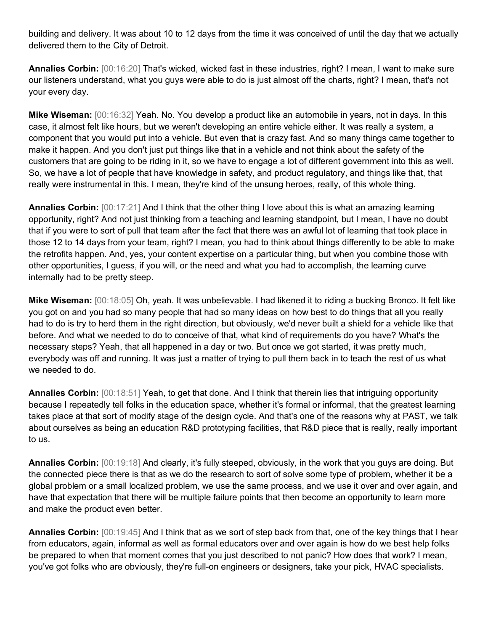building and delivery. It was about 10 to 12 days from the time it was conceived of until the day that we actually delivered them to the City of Detroit.

**Annalies Corbin:** [00:16:20] That's wicked, wicked fast in these industries, right? I mean, I want to make sure our listeners understand, what you guys were able to do is just almost off the charts, right? I mean, that's not your every day.

**Mike Wiseman:** [00:16:32] Yeah. No. You develop a product like an automobile in years, not in days. In this case, it almost felt like hours, but we weren't developing an entire vehicle either. It was really a system, a component that you would put into a vehicle. But even that is crazy fast. And so many things came together to make it happen. And you don't just put things like that in a vehicle and not think about the safety of the customers that are going to be riding in it, so we have to engage a lot of different government into this as well. So, we have a lot of people that have knowledge in safety, and product regulatory, and things like that, that really were instrumental in this. I mean, they're kind of the unsung heroes, really, of this whole thing.

**Annalies Corbin:** [00:17:21] And I think that the other thing I love about this is what an amazing learning opportunity, right? And not just thinking from a teaching and learning standpoint, but I mean, I have no doubt that if you were to sort of pull that team after the fact that there was an awful lot of learning that took place in those 12 to 14 days from your team, right? I mean, you had to think about things differently to be able to make the retrofits happen. And, yes, your content expertise on a particular thing, but when you combine those with other opportunities, I guess, if you will, or the need and what you had to accomplish, the learning curve internally had to be pretty steep.

**Mike Wiseman:** [00:18:05] Oh, yeah. It was unbelievable. I had likened it to riding a bucking Bronco. It felt like you got on and you had so many people that had so many ideas on how best to do things that all you really had to do is try to herd them in the right direction, but obviously, we'd never built a shield for a vehicle like that before. And what we needed to do to conceive of that, what kind of requirements do you have? What's the necessary steps? Yeah, that all happened in a day or two. But once we got started, it was pretty much, everybody was off and running. It was just a matter of trying to pull them back in to teach the rest of us what we needed to do.

**Annalies Corbin:** [00:18:51] Yeah, to get that done. And I think that therein lies that intriguing opportunity because I repeatedly tell folks in the education space, whether it's formal or informal, that the greatest learning takes place at that sort of modify stage of the design cycle. And that's one of the reasons why at PAST, we talk about ourselves as being an education R&D prototyping facilities, that R&D piece that is really, really important to us.

**Annalies Corbin:** [00:19:18] And clearly, it's fully steeped, obviously, in the work that you guys are doing. But the connected piece there is that as we do the research to sort of solve some type of problem, whether it be a global problem or a small localized problem, we use the same process, and we use it over and over again, and have that expectation that there will be multiple failure points that then become an opportunity to learn more and make the product even better.

**Annalies Corbin:** [00:19:45] And I think that as we sort of step back from that, one of the key things that I hear from educators, again, informal as well as formal educators over and over again is how do we best help folks be prepared to when that moment comes that you just described to not panic? How does that work? I mean, you've got folks who are obviously, they're full-on engineers or designers, take your pick, HVAC specialists.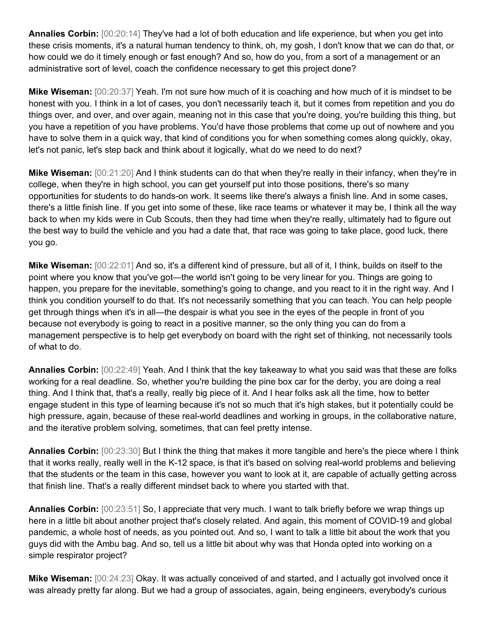**Annalies Corbin:** [00:20:14] They've had a lot of both education and life experience, but when you get into these crisis moments, it's a natural human tendency to think, oh, my gosh, I don't know that we can do that, or how could we do it timely enough or fast enough? And so, how do you, from a sort of a management or an administrative sort of level, coach the confidence necessary to get this project done?

**Mike Wiseman:** [00:20:37] Yeah. I'm not sure how much of it is coaching and how much of it is mindset to be honest with you. I think in a lot of cases, you don't necessarily teach it, but it comes from repetition and you do things over, and over, and over again, meaning not in this case that you're doing, you're building this thing, but you have a repetition of you have problems. You'd have those problems that come up out of nowhere and you have to solve them in a quick way, that kind of conditions you for when something comes along quickly, okay, let's not panic, let's step back and think about it logically, what do we need to do next?

**Mike Wiseman:** [00:21:20] And I think students can do that when they're really in their infancy, when they're in college, when they're in high school, you can get yourself put into those positions, there's so many opportunities for students to do hands-on work. It seems like there's always a finish line. And in some cases, there's a little finish line. If you get into some of these, like race teams or whatever it may be, I think all the way back to when my kids were in Cub Scouts, then they had time when they're really, ultimately had to figure out the best way to build the vehicle and you had a date that, that race was going to take place, good luck, there you go.

**Mike Wiseman:** [00:22:01] And so, it's a different kind of pressure, but all of it, I think, builds on itself to the point where you know that you've got—the world isn't going to be very linear for you. Things are going to happen, you prepare for the inevitable, something's going to change, and you react to it in the right way. And I think you condition yourself to do that. It's not necessarily something that you can teach. You can help people get through things when it's in all—the despair is what you see in the eyes of the people in front of you because not everybody is going to react in a positive manner, so the only thing you can do from a management perspective is to help get everybody on board with the right set of thinking, not necessarily tools of what to do.

**Annalies Corbin:** [00:22:49] Yeah. And I think that the key takeaway to what you said was that these are folks working for a real deadline. So, whether you're building the pine box car for the derby, you are doing a real thing. And I think that, that's a really, really big piece of it. And I hear folks ask all the time, how to better engage student in this type of learning because it's not so much that it's high stakes, but it potentially could be high pressure, again, because of these real-world deadlines and working in groups, in the collaborative nature, and the iterative problem solving, sometimes, that can feel pretty intense.

**Annalies Corbin:** [00:23:30] But I think the thing that makes it more tangible and here's the piece where I think that it works really, really well in the K-12 space, is that it's based on solving real-world problems and believing that the students or the team in this case, however you want to look at it, are capable of actually getting across that finish line. That's a really different mindset back to where you started with that.

**Annalies Corbin:** [00:23:51] So, I appreciate that very much. I want to talk briefly before we wrap things up here in a little bit about another project that's closely related. And again, this moment of COVID-19 and global pandemic, a whole host of needs, as you pointed out. And so, I want to talk a little bit about the work that you guys did with the Ambu bag. And so, tell us a little bit about why was that Honda opted into working on a simple respirator project?

**Mike Wiseman:** [00:24:23] Okay. It was actually conceived of and started, and I actually got involved once it was already pretty far along. But we had a group of associates, again, being engineers, everybody's curious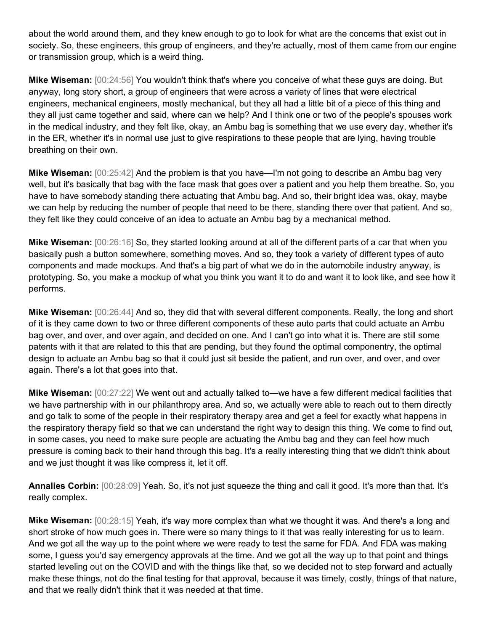about the world around them, and they knew enough to go to look for what are the concerns that exist out in society. So, these engineers, this group of engineers, and they're actually, most of them came from our engine or transmission group, which is a weird thing.

**Mike Wiseman:** [00:24:56] You wouldn't think that's where you conceive of what these guys are doing. But anyway, long story short, a group of engineers that were across a variety of lines that were electrical engineers, mechanical engineers, mostly mechanical, but they all had a little bit of a piece of this thing and they all just came together and said, where can we help? And I think one or two of the people's spouses work in the medical industry, and they felt like, okay, an Ambu bag is something that we use every day, whether it's in the ER, whether it's in normal use just to give respirations to these people that are lying, having trouble breathing on their own.

**Mike Wiseman:** [00:25:42] And the problem is that you have—I'm not going to describe an Ambu bag very well, but it's basically that bag with the face mask that goes over a patient and you help them breathe. So, you have to have somebody standing there actuating that Ambu bag. And so, their bright idea was, okay, maybe we can help by reducing the number of people that need to be there, standing there over that patient. And so, they felt like they could conceive of an idea to actuate an Ambu bag by a mechanical method.

**Mike Wiseman:** [00:26:16] So, they started looking around at all of the different parts of a car that when you basically push a button somewhere, something moves. And so, they took a variety of different types of auto components and made mockups. And that's a big part of what we do in the automobile industry anyway, is prototyping. So, you make a mockup of what you think you want it to do and want it to look like, and see how it performs.

**Mike Wiseman:** [00:26:44] And so, they did that with several different components. Really, the long and short of it is they came down to two or three different components of these auto parts that could actuate an Ambu bag over, and over, and over again, and decided on one. And I can't go into what it is. There are still some patents with it that are related to this that are pending, but they found the optimal componentry, the optimal design to actuate an Ambu bag so that it could just sit beside the patient, and run over, and over, and over again. There's a lot that goes into that.

**Mike Wiseman:** [00:27:22] We went out and actually talked to—we have a few different medical facilities that we have partnership with in our philanthropy area. And so, we actually were able to reach out to them directly and go talk to some of the people in their respiratory therapy area and get a feel for exactly what happens in the respiratory therapy field so that we can understand the right way to design this thing. We come to find out, in some cases, you need to make sure people are actuating the Ambu bag and they can feel how much pressure is coming back to their hand through this bag. It's a really interesting thing that we didn't think about and we just thought it was like compress it, let it off.

**Annalies Corbin:** [00:28:09] Yeah. So, it's not just squeeze the thing and call it good. It's more than that. It's really complex.

**Mike Wiseman:** [00:28:15] Yeah, it's way more complex than what we thought it was. And there's a long and short stroke of how much goes in. There were so many things to it that was really interesting for us to learn. And we got all the way up to the point where we were ready to test the same for FDA. And FDA was making some, I guess you'd say emergency approvals at the time. And we got all the way up to that point and things started leveling out on the COVID and with the things like that, so we decided not to step forward and actually make these things, not do the final testing for that approval, because it was timely, costly, things of that nature, and that we really didn't think that it was needed at that time.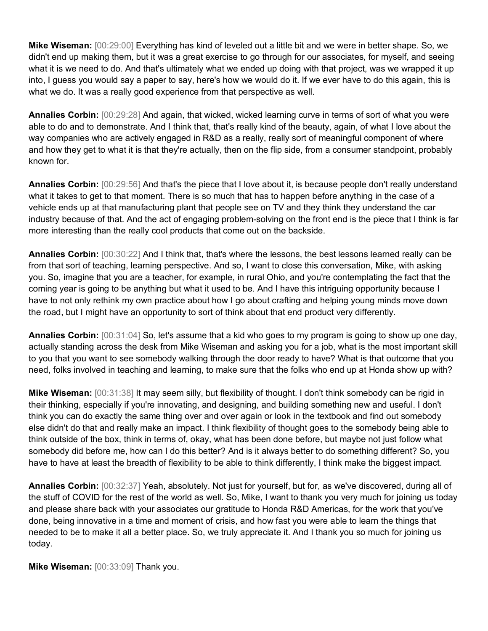**Mike Wiseman:** [00:29:00] Everything has kind of leveled out a little bit and we were in better shape. So, we didn't end up making them, but it was a great exercise to go through for our associates, for myself, and seeing what it is we need to do. And that's ultimately what we ended up doing with that project, was we wrapped it up into, I guess you would say a paper to say, here's how we would do it. If we ever have to do this again, this is what we do. It was a really good experience from that perspective as well.

**Annalies Corbin:** [00:29:28] And again, that wicked, wicked learning curve in terms of sort of what you were able to do and to demonstrate. And I think that, that's really kind of the beauty, again, of what I love about the way companies who are actively engaged in R&D as a really, really sort of meaningful component of where and how they get to what it is that they're actually, then on the flip side, from a consumer standpoint, probably known for.

**Annalies Corbin:** [00:29:56] And that's the piece that I love about it, is because people don't really understand what it takes to get to that moment. There is so much that has to happen before anything in the case of a vehicle ends up at that manufacturing plant that people see on TV and they think they understand the car industry because of that. And the act of engaging problem-solving on the front end is the piece that I think is far more interesting than the really cool products that come out on the backside.

**Annalies Corbin:** [00:30:22] And I think that, that's where the lessons, the best lessons learned really can be from that sort of teaching, learning perspective. And so, I want to close this conversation, Mike, with asking you. So, imagine that you are a teacher, for example, in rural Ohio, and you're contemplating the fact that the coming year is going to be anything but what it used to be. And I have this intriguing opportunity because I have to not only rethink my own practice about how I go about crafting and helping young minds move down the road, but I might have an opportunity to sort of think about that end product very differently.

**Annalies Corbin:** [00:31:04] So, let's assume that a kid who goes to my program is going to show up one day, actually standing across the desk from Mike Wiseman and asking you for a job, what is the most important skill to you that you want to see somebody walking through the door ready to have? What is that outcome that you need, folks involved in teaching and learning, to make sure that the folks who end up at Honda show up with?

**Mike Wiseman:** [00:31:38] It may seem silly, but flexibility of thought. I don't think somebody can be rigid in their thinking, especially if you're innovating, and designing, and building something new and useful. I don't think you can do exactly the same thing over and over again or look in the textbook and find out somebody else didn't do that and really make an impact. I think flexibility of thought goes to the somebody being able to think outside of the box, think in terms of, okay, what has been done before, but maybe not just follow what somebody did before me, how can I do this better? And is it always better to do something different? So, you have to have at least the breadth of flexibility to be able to think differently, I think make the biggest impact.

**Annalies Corbin:** [00:32:37] Yeah, absolutely. Not just for yourself, but for, as we've discovered, during all of the stuff of COVID for the rest of the world as well. So, Mike, I want to thank you very much for joining us today and please share back with your associates our gratitude to Honda R&D Americas, for the work that you've done, being innovative in a time and moment of crisis, and how fast you were able to learn the things that needed to be to make it all a better place. So, we truly appreciate it. And I thank you so much for joining us today.

**Mike Wiseman:** [00:33:09] Thank you.